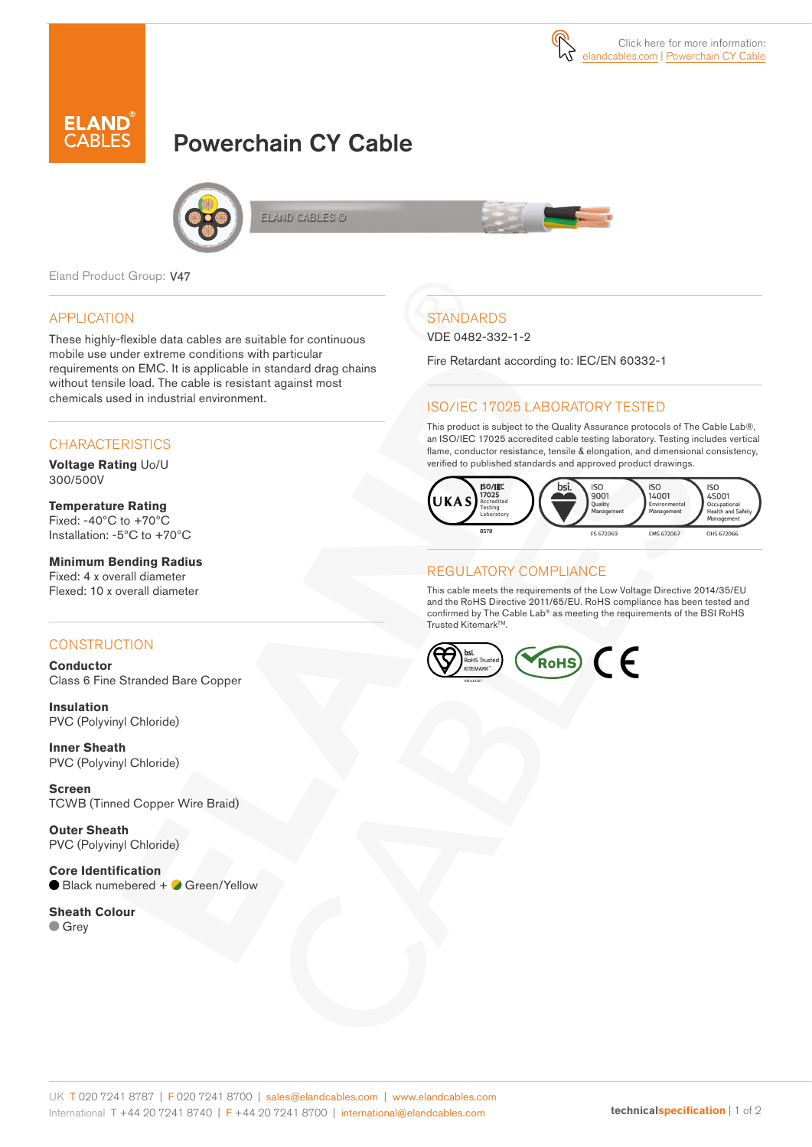



# Powerchain CY Cable



ELAND CABLES ©

Eland Product Group: V47

#### APPLICATION

These highly-flexible data cables are suitable for continuous mobile use under extreme conditions with particular requirements on EMC. It is applicable in standard drag chains without tensile load. The cable is resistant against most chemicals used in industrial environment.

#### **CHARACTERISTICS**

**Voltage Rating** Uo/U 300/500V

**Temperature Rating** Fixed: -40ºC to +70ºC Installation: -5ºC to +70ºC

#### **Minimum Bending Radius**  Fixed: 4 x overall diameter Flexed: 10 x overall diameter

#### **CONSTRUCTION**

**Conductor** Class 6 Fine Stranded Bare Copper

**Insulation** PVC (Polyvinyl Chloride)

**Inner Sheath** PVC (Polyvinyl Chloride)

**Screen** TCWB (Tinned Copper Wire Braid)

**Outer Sheath** PVC (Polyvinyl Chloride)

**Core Identification** ● Black numebered + ● Green/Yellow

**Sheath Colour Grey** 

## **STANDARDS**

VDE 0482-332-1-2

Fire Retardant according to: IEC/EN 60332-1

#### ISO/IEC 17025 LABORATORY TESTED

This product is subject to the Quality Assurance protocols of The Cable Lab®, an ISO/IEC 17025 accredited cable testing laboratory. Testing includes vertical flame, conductor resistance, tensile & elongation, and dimensional consistency, verified to published standards and approved product drawings.



#### REGULATORY COMPLIANCE

This cable meets the requirements of the Low Voltage Directive 2014/35/EU and the RoHS Directive 2011/65/EU. RoHS compliance has been tested and confirmed by The Cable Lab® as meeting the requirements of the BSI RoHS Trusted KitemarkTM.